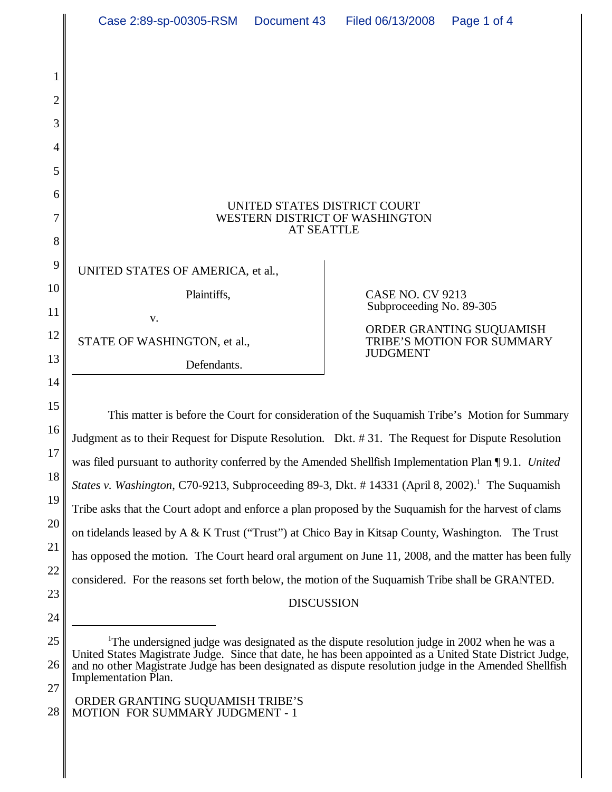|                | Case 2:89-sp-00305-RSM<br>Document 43                                                                                                                                                                               |  | Filed 06/13/2008         | Page 1 of 4                                            |
|----------------|---------------------------------------------------------------------------------------------------------------------------------------------------------------------------------------------------------------------|--|--------------------------|--------------------------------------------------------|
|                |                                                                                                                                                                                                                     |  |                          |                                                        |
| 1              |                                                                                                                                                                                                                     |  |                          |                                                        |
| $\overline{2}$ |                                                                                                                                                                                                                     |  |                          |                                                        |
| 3              |                                                                                                                                                                                                                     |  |                          |                                                        |
| 4              |                                                                                                                                                                                                                     |  |                          |                                                        |
| 5              |                                                                                                                                                                                                                     |  |                          |                                                        |
| 6<br>7         | UNITED STATES DISTRICT COURT<br>WESTERN DISTRICT OF WASHINGTON                                                                                                                                                      |  |                          |                                                        |
| 8              | <b>AT SEATTLE</b>                                                                                                                                                                                                   |  |                          |                                                        |
| 9              | UNITED STATES OF AMERICA, et al.,                                                                                                                                                                                   |  |                          |                                                        |
| 10             | Plaintiffs,                                                                                                                                                                                                         |  | <b>CASE NO. CV 9213</b>  |                                                        |
| 11             | V.                                                                                                                                                                                                                  |  | Subproceeding No. 89-305 |                                                        |
| 12             | STATE OF WASHINGTON, et al.,                                                                                                                                                                                        |  |                          | ORDER GRANTING SUQUAMISH<br>TRIBE'S MOTION FOR SUMMARY |
| 13             | Defendants.                                                                                                                                                                                                         |  | <b>JUDGMENT</b>          |                                                        |
| 14             |                                                                                                                                                                                                                     |  |                          |                                                        |
| 15             | This matter is before the Court for consideration of the Suquamish Tribe's Motion for Summary                                                                                                                       |  |                          |                                                        |
| 16<br>17       | Judgment as to their Request for Dispute Resolution. Dkt. #31. The Request for Dispute Resolution                                                                                                                   |  |                          |                                                        |
| 18             | was filed pursuant to authority conferred by the Amended Shellfish Implementation Plan ¶ 9.1. United                                                                                                                |  |                          |                                                        |
| 19             | States v. Washington, C70-9213, Subproceeding 89-3, Dkt. #14331 (April 8, 2002). <sup>1</sup> The Suquamish                                                                                                         |  |                          |                                                        |
| 20             | Tribe asks that the Court adopt and enforce a plan proposed by the Suquamish for the harvest of clams                                                                                                               |  |                          |                                                        |
| 21             | on tidelands leased by A & K Trust ("Trust") at Chico Bay in Kitsap County, Washington. The Trust<br>has opposed the motion. The Court heard oral argument on June 11, 2008, and the matter has been fully          |  |                          |                                                        |
| 22             | considered. For the reasons set forth below, the motion of the Suquamish Tribe shall be GRANTED.                                                                                                                    |  |                          |                                                        |
| 23             | <b>DISCUSSION</b>                                                                                                                                                                                                   |  |                          |                                                        |
| 24             |                                                                                                                                                                                                                     |  |                          |                                                        |
| 25             | <sup>1</sup> The undersigned judge was designated as the dispute resolution judge in 2002 when he was a<br>United States Magistrate Judge. Since that date, he has been appointed as a United State District Judge, |  |                          |                                                        |
| 26<br>27       | and no other Magistrate Judge has been designated as dispute resolution judge in the Amended Shellfish<br><b>Implementation Plan.</b>                                                                               |  |                          |                                                        |
|                |                                                                                                                                                                                                                     |  |                          |                                                        |

### ORDER GRANTING SUQUAMISH TRIBE'S MOTION FOR SUMMARY JUDGMENT - 1

28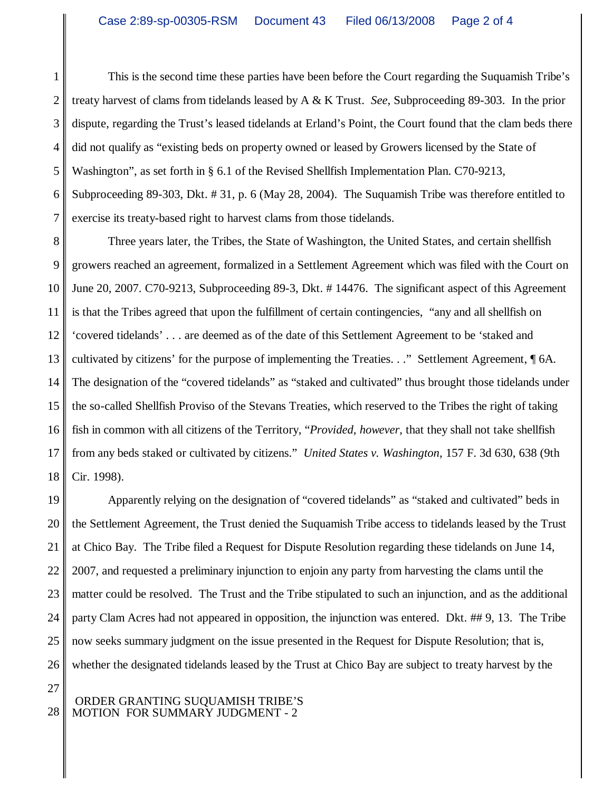1 2 3 4 5 6 7 This is the second time these parties have been before the Court regarding the Suquamish Tribe's treaty harvest of clams from tidelands leased by A & K Trust. *See*, Subproceeding 89-303. In the prior dispute, regarding the Trust's leased tidelands at Erland's Point, the Court found that the clam beds there did not qualify as "existing beds on property owned or leased by Growers licensed by the State of Washington", as set forth in § 6.1 of the Revised Shellfish Implementation Plan. C70-9213, Subproceeding 89-303, Dkt. # 31, p. 6 (May 28, 2004). The Suquamish Tribe was therefore entitled to exercise its treaty-based right to harvest clams from those tidelands.

8 9 10 11 12 13 14 15 16 17 18 Three years later, the Tribes, the State of Washington, the United States, and certain shellfish growers reached an agreement, formalized in a Settlement Agreement which was filed with the Court on June 20, 2007. C70-9213, Subproceeding 89-3, Dkt. # 14476. The significant aspect of this Agreement is that the Tribes agreed that upon the fulfillment of certain contingencies, "any and all shellfish on 'covered tidelands' . . . are deemed as of the date of this Settlement Agreement to be 'staked and cultivated by citizens' for the purpose of implementing the Treaties. . ." Settlement Agreement, ¶ 6A. The designation of the "covered tidelands" as "staked and cultivated" thus brought those tidelands under the so-called Shellfish Proviso of the Stevans Treaties, which reserved to the Tribes the right of taking fish in common with all citizens of the Territory, "*Provided, however*, that they shall not take shellfish from any beds staked or cultivated by citizens." *United States v. Washington*, 157 F. 3d 630, 638 (9th Cir. 1998).

19 20 21 22 23 24 25 26 Apparently relying on the designation of "covered tidelands" as "staked and cultivated" beds in the Settlement Agreement, the Trust denied the Suquamish Tribe access to tidelands leased by the Trust at Chico Bay. The Tribe filed a Request for Dispute Resolution regarding these tidelands on June 14, 2007, and requested a preliminary injunction to enjoin any party from harvesting the clams until the matter could be resolved. The Trust and the Tribe stipulated to such an injunction, and as the additional party Clam Acres had not appeared in opposition, the injunction was entered. Dkt. ## 9, 13. The Tribe now seeks summary judgment on the issue presented in the Request for Dispute Resolution; that is, whether the designated tidelands leased by the Trust at Chico Bay are subject to treaty harvest by the

# ORDER GRANTING SUQUAMISH TRIBE'S MOTION FOR SUMMARY JUDGMENT - 2

27

28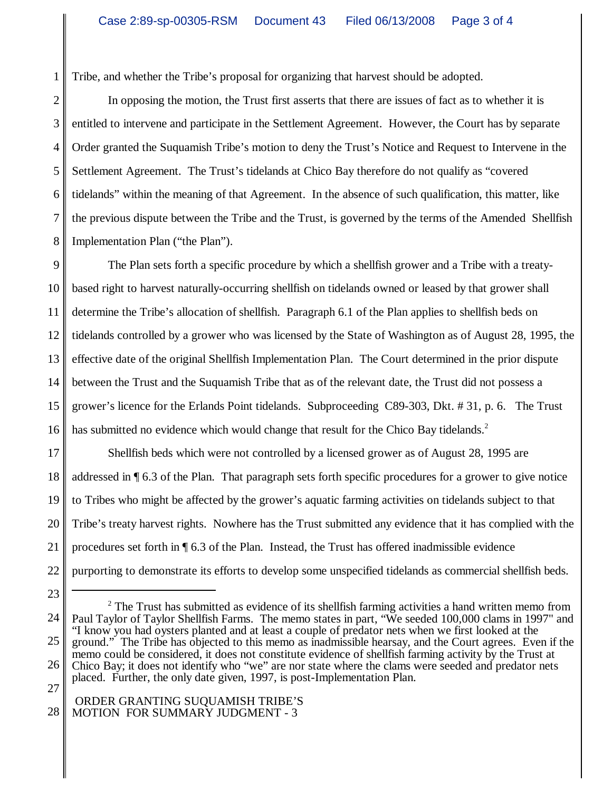Tribe, and whether the Tribe's proposal for organizing that harvest should be adopted.

1

2 3 4 5 6 7 8 In opposing the motion, the Trust first asserts that there are issues of fact as to whether it is entitled to intervene and participate in the Settlement Agreement. However, the Court has by separate Order granted the Suquamish Tribe's motion to deny the Trust's Notice and Request to Intervene in the Settlement Agreement. The Trust's tidelands at Chico Bay therefore do not qualify as "covered tidelands" within the meaning of that Agreement. In the absence of such qualification, this matter, like the previous dispute between the Tribe and the Trust, is governed by the terms of the Amended Shellfish Implementation Plan ("the Plan").

9 10 11 12 13 14 15 16 The Plan sets forth a specific procedure by which a shellfish grower and a Tribe with a treatybased right to harvest naturally-occurring shellfish on tidelands owned or leased by that grower shall determine the Tribe's allocation of shellfish. Paragraph 6.1 of the Plan applies to shellfish beds on tidelands controlled by a grower who was licensed by the State of Washington as of August 28, 1995, the effective date of the original Shellfish Implementation Plan. The Court determined in the prior dispute between the Trust and the Suquamish Tribe that as of the relevant date, the Trust did not possess a grower's licence for the Erlands Point tidelands. Subproceeding C89-303, Dkt. # 31, p. 6. The Trust has submitted no evidence which would change that result for the Chico Bay tidelands.<sup>2</sup>

17 18 19 20 21 22 Shellfish beds which were not controlled by a licensed grower as of August 28, 1995 are addressed in ¶ 6.3 of the Plan. That paragraph sets forth specific procedures for a grower to give notice to Tribes who might be affected by the grower's aquatic farming activities on tidelands subject to that Tribe's treaty harvest rights. Nowhere has the Trust submitted any evidence that it has complied with the procedures set forth in  $\P$  6.3 of the Plan. Instead, the Trust has offered inadmissible evidence purporting to demonstrate its efforts to develop some unspecified tidelands as commercial shellfish beds.

#### 28 ORDER GRANTING SUQUAMISH TRIBE'S MOTION FOR SUMMARY JUDGMENT - 3

<sup>23</sup> 24 25 26 27  $2$  The Trust has submitted as evidence of its shellfish farming activities a hand written memo from Paul Taylor of Taylor Shellfish Farms. The memo states in part, "We seeded 100,000 clams in 1997" and "I know you had oysters planted and at least a couple of predator nets when we first looked at the ground." The Tribe has objected to this memo as inadmissible hearsay, and the Court agrees. Even if the memo could be considered, it does not constitute evidence of shellfish farming activity by the Trust at Chico Bay; it does not identify who "we" are nor state where the clams were seeded and predator nets placed. Further, the only date given, 1997, is post-Implementation Plan.